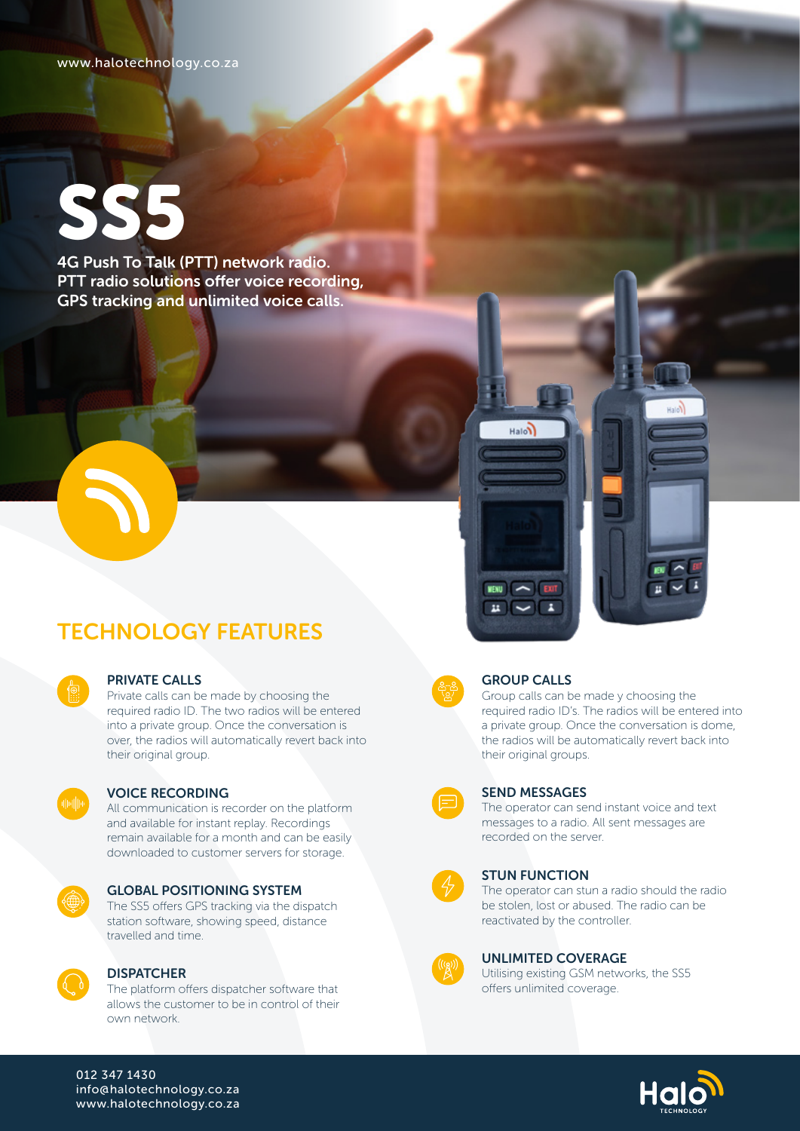www.halotechnology.co.za

# SS5

4G Push To Talk (PTT) network radio. PTT radio solutions offer voice recording, GPS tracking and unlimited voice calls.

## TECHNOLOGY FEATURES

#### PRIVATE CALLS

Private calls can be made by choosing the required radio ID. The two radios will be entered into a private group. Once the conversation is over, the radios will automatically revert back into their original group.



#### VOICE RECORDING

All communication is recorder on the platform and available for instant replay. Recordings remain available for a month and can be easily downloaded to customer servers for storage.



#### GLOBAL POSITIONING SYSTEM

The SS5 offers GPS tracking via the dispatch station software, showing speed, distance travelled and time.



#### **DISPATCHER**

The platform offers dispatcher software that allows the customer to be in control of their own network.



#### GROUP CALLS

**MENU** EXIT  $\frac{1}{2}$   $\sqrt{2}$ 

Halon

Group calls can be made y choosing the required radio ID's. The radios will be entered into a private group. Once the conversation is dome, the radios will be automatically revert back into their original groups.

Hotel

 $\frac{1}{2}$   $\frac{1}{2}$ 



#### SEND MESSAGES

The operator can send instant voice and text messages to a radio. All sent messages are recorded on the server.



#### STUN FUNCTION

The operator can stun a radio should the radio be stolen, lost or abused. The radio can be reactivated by the controller.



#### UNLIMITED COVERAGE

Utilising existing GSM networks, the SS5 offers unlimited coverage.